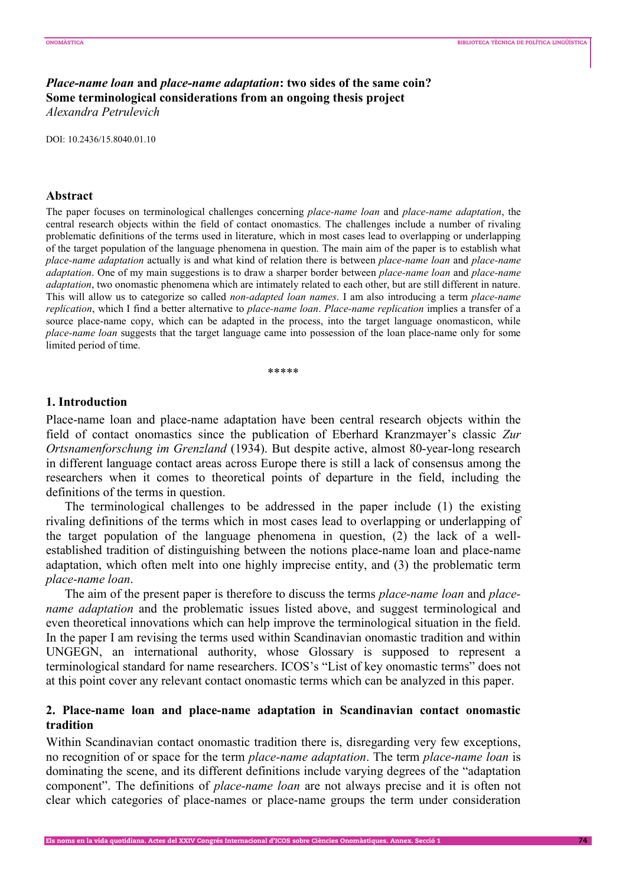# *Place-name loan* **and** *place-name adaptation***: two sides of the same coin? Some terminological considerations from an ongoing thesis project**  *Alexandra Petrulevich*

DOI: 10.2436/15.8040.01.10

#### **Abstract**

The paper focuses on terminological challenges concerning *place-name loan* and *place-name adaptation*, the central research objects within the field of contact onomastics. The challenges include a number of rivaling problematic definitions of the terms used in literature, which in most cases lead to overlapping or underlapping of the target population of the language phenomena in question. The main aim of the paper is to establish what *place-name adaptation* actually is and what kind of relation there is between *place-name loan* and *place-name adaptation*. One of my main suggestions is to draw a sharper border between *place-name loan* and *place-name adaptation*, two onomastic phenomena which are intimately related to each other, but are still different in nature. This will allow us to categorize so called *non-adapted loan names*. I am also introducing a term *place-name replication*, which I find a better alternative to *place-name loan*. *Place-name replication* implies a transfer of a source place-name copy, which can be adapted in the process, into the target language onomasticon, while *place-name loan* suggests that the target language came into possession of the loan place-name only for some limited period of time.

\*\*\*\*\*

### **1. Introduction**

Place-name loan and place-name adaptation have been central research objects within the field of contact onomastics since the publication of Eberhard Kranzmayer's classic *Zur Ortsnamenforschung im Grenzland* (1934). But despite active, almost 80-year-long research in different language contact areas across Europe there is still a lack of consensus among the researchers when it comes to theoretical points of departure in the field, including the definitions of the terms in question.

The terminological challenges to be addressed in the paper include (1) the existing rivaling definitions of the terms which in most cases lead to overlapping or underlapping of the target population of the language phenomena in question, (2) the lack of a wellestablished tradition of distinguishing between the notions place-name loan and place-name adaptation, which often melt into one highly imprecise entity, and (3) the problematic term *place-name loan*.

The aim of the present paper is therefore to discuss the terms *place-name loan* and *placename adaptation* and the problematic issues listed above, and suggest terminological and even theoretical innovations which can help improve the terminological situation in the field. In the paper I am revising the terms used within Scandinavian onomastic tradition and within UNGEGN, an international authority, whose Glossary is supposed to represent a terminological standard for name researchers. ICOS's "List of key onomastic terms" does not at this point cover any relevant contact onomastic terms which can be analyzed in this paper.

# **2. Place-name loan and place-name adaptation in Scandinavian contact onomastic tradition**

Within Scandinavian contact onomastic tradition there is, disregarding very few exceptions, no recognition of or space for the term *place-name adaptation*. The term *place-name loan* is dominating the scene, and its different definitions include varying degrees of the "adaptation component". The definitions of *place-name loan* are not always precise and it is often not clear which categories of place-names or place-name groups the term under consideration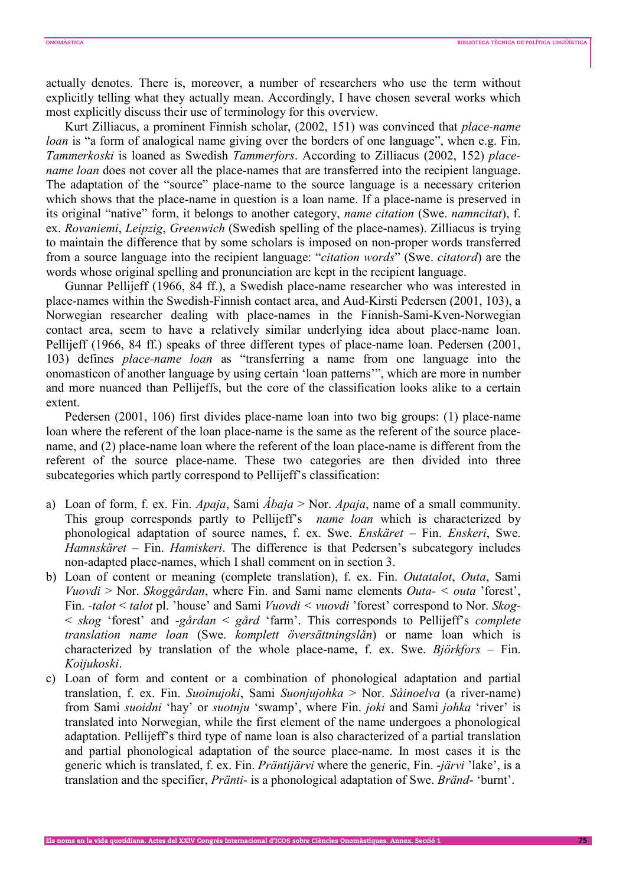actually denotes. There is, moreover, a number of researchers who use the term without explicitly telling what they actually mean. Accordingly, I have chosen several works which most explicitly discuss their use of terminology for this overview.

Kurt Zilliacus, a prominent Finnish scholar, (2002, 151) was convinced that *place-name loan* is "a form of analogical name giving over the borders of one language", when e.g. Fin. *Tammerkoski* is loaned as Swedish *Tammerfors*. According to Zilliacus (2002, 152) *placename loan* does not cover all the place-names that are transferred into the recipient language. The adaptation of the "source" place-name to the source language is a necessary criterion which shows that the place-name in question is a loan name. If a place-name is preserved in its original "native" form, it belongs to another category, *name citation* (Swe. *namncitat*), f. ex. *Rovaniemi*, *Leipzig*, *Greenwich* (Swedish spelling of the place-names). Zilliacus is trying to maintain the difference that by some scholars is imposed on non-proper words transferred from a source language into the recipient language: "*citation words*" (Swe. *citatord*) are the words whose original spelling and pronunciation are kept in the recipient language.

Gunnar Pellijeff (1966, 84 ff.), a Swedish place-name researcher who was interested in place-names within the Swedish-Finnish contact area, and Aud-Kirsti Pedersen (2001, 103), a Norwegian researcher dealing with place-names in the Finnish-Sami-Kven-Norwegian contact area, seem to have a relatively similar underlying idea about place-name loan. Pellijeff (1966, 84 ff.) speaks of three different types of place-name loan. Pedersen (2001, 103) defines *place-name loan* as "transferring a name from one language into the onomasticon of another language by using certain 'loan patterns'", which are more in number and more nuanced than Pellijeffs, but the core of the classification looks alike to a certain extent.

Pedersen (2001, 106) first divides place-name loan into two big groups: (1) place-name loan where the referent of the loan place-name is the same as the referent of the source placename, and (2) place-name loan where the referent of the loan place-name is different from the referent of the source place-name. These two categories are then divided into three subcategories which partly correspond to Pellijeff's classification:

- a) Loan of form, f. ex. Fin. *Apaja*, Sami *Ábaja* > Nor. *Apaja*, name of a small community. This group corresponds partly to Pellijeff's *name loan* which is characterized by phonological adaptation of source names, f. ex. Swe. *Enskäret* – Fin. *Enskeri*, Swe. *Hamnskäret* – Fin. *Hamiskeri*. The difference is that Pedersen's subcategory includes non-adapted place-names, which I shall comment on in section 3.
- b) Loan of content or meaning (complete translation), f. ex. Fin. *Outatalot*, *Outa*, Sami *Vuovdi* > Nor. *Skoggårdan*, where Fin. and Sami name elements *Outa- < outa* 'forest', Fin. *-talot* < *talot* pl. 'house' and Sami *Vuovdi < vuovdi* 'forest' correspond to Nor. *Skog*- < *skog* 'forest' and -*gårdan* < *gård* 'farm'. This corresponds to Pellijeff's *complete translation name loan* (Swe. *komplett översättningslån*) or name loan which is characterized by translation of the whole place-name, f. ex. Swe. *Björkfors* – Fin. *Koijukoski*.
- c) Loan of form and content or a combination of phonological adaptation and partial translation, f. ex. Fin. *Suoinujoki*, Sami *Suonjujohka* > Nor. *Såinoelva* (a river-name) from Sami *suoidni* 'hay' or *suotnju* 'swamp', where Fin. *joki* and Sami *johka* 'river' is translated into Norwegian, while the first element of the name undergoes a phonological adaptation. Pellijeff's third type of name loan is also characterized of a partial translation and partial phonological adaptation of the source place-name. In most cases it is the generic which is translated, f. ex. Fin. *Präntijärvi* where the generic, Fin. -*järvi* 'lake', is a translation and the specifier, *Pränti*- is a phonological adaptation of Swe. *Bränd*- 'burnt'.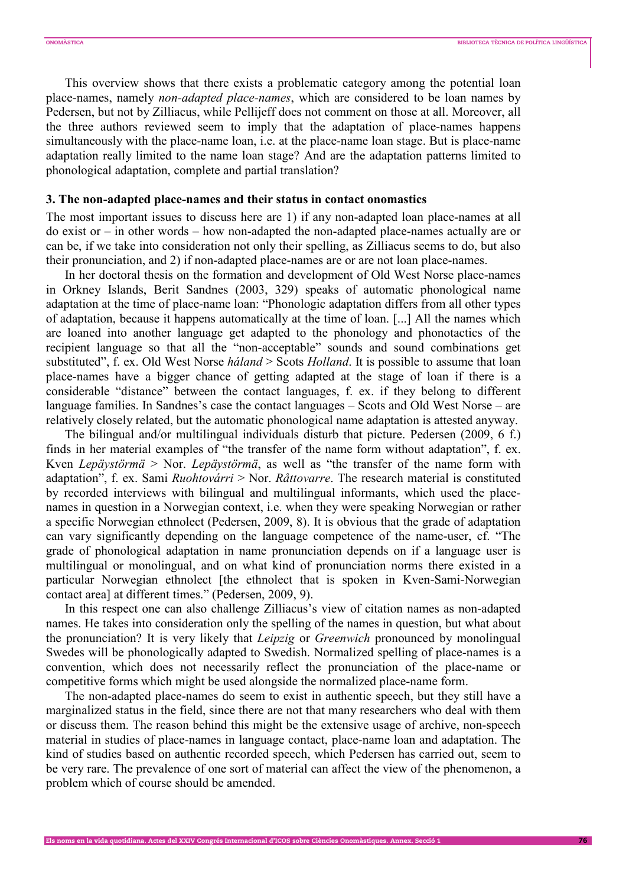This overview shows that there exists a problematic category among the potential loan place-names, namely *non-adapted place-names*, which are considered to be loan names by Pedersen, but not by Zilliacus, while Pellijeff does not comment on those at all. Moreover, all the three authors reviewed seem to imply that the adaptation of place-names happens simultaneously with the place-name loan, i.e. at the place-name loan stage. But is place-name adaptation really limited to the name loan stage? And are the adaptation patterns limited to phonological adaptation, complete and partial translation?

#### **3. The non-adapted place-names and their status in contact onomastics**

The most important issues to discuss here are 1) if any non-adapted loan place-names at all do exist or – in other words – how non-adapted the non-adapted place-names actually are or can be, if we take into consideration not only their spelling, as Zilliacus seems to do, but also their pronunciation, and 2) if non-adapted place-names are or are not loan place-names.

In her doctoral thesis on the formation and development of Old West Norse place-names in Orkney Islands, Berit Sandnes (2003, 329) speaks of automatic phonological name adaptation at the time of place-name loan: "Phonologic adaptation differs from all other types of adaptation, because it happens automatically at the time of loan. [...] All the names which are loaned into another language get adapted to the phonology and phonotactics of the recipient language so that all the "non-acceptable" sounds and sound combinations get substituted", f. ex. Old West Norse *háland* > Scots *Holland*. It is possible to assume that loan place-names have a bigger chance of getting adapted at the stage of loan if there is a considerable "distance" between the contact languages, f. ex. if they belong to different language families. In Sandnes's case the contact languages – Scots and Old West Norse – are relatively closely related, but the automatic phonological name adaptation is attested anyway.

The bilingual and/or multilingual individuals disturb that picture. Pedersen (2009, 6 f.) finds in her material examples of "the transfer of the name form without adaptation", f. ex. Kven *Lepäystörmä* > Nor. *Lepäystörmä*, as well as "the transfer of the name form with adaptation", f. ex. Sami *Ruohtovárri* > Nor. *Råttovarre*. The research material is constituted by recorded interviews with bilingual and multilingual informants, which used the placenames in question in a Norwegian context, i.e. when they were speaking Norwegian or rather a specific Norwegian ethnolect (Pedersen, 2009, 8). It is obvious that the grade of adaptation can vary significantly depending on the language competence of the name-user, cf. "The grade of phonological adaptation in name pronunciation depends on if a language user is multilingual or monolingual, and on what kind of pronunciation norms there existed in a particular Norwegian ethnolect [the ethnolect that is spoken in Kven-Sami-Norwegian contact area] at different times." (Pedersen, 2009, 9).

In this respect one can also challenge Zilliacus's view of citation names as non-adapted names. He takes into consideration only the spelling of the names in question, but what about the pronunciation? It is very likely that *Leipzig* or *Greenwich* pronounced by monolingual Swedes will be phonologically adapted to Swedish. Normalized spelling of place-names is a convention, which does not necessarily reflect the pronunciation of the place-name or competitive forms which might be used alongside the normalized place-name form.

The non-adapted place-names do seem to exist in authentic speech, but they still have a marginalized status in the field, since there are not that many researchers who deal with them or discuss them. The reason behind this might be the extensive usage of archive, non-speech material in studies of place-names in language contact, place-name loan and adaptation. The kind of studies based on authentic recorded speech, which Pedersen has carried out, seem to be very rare. The prevalence of one sort of material can affect the view of the phenomenon, a problem which of course should be amended.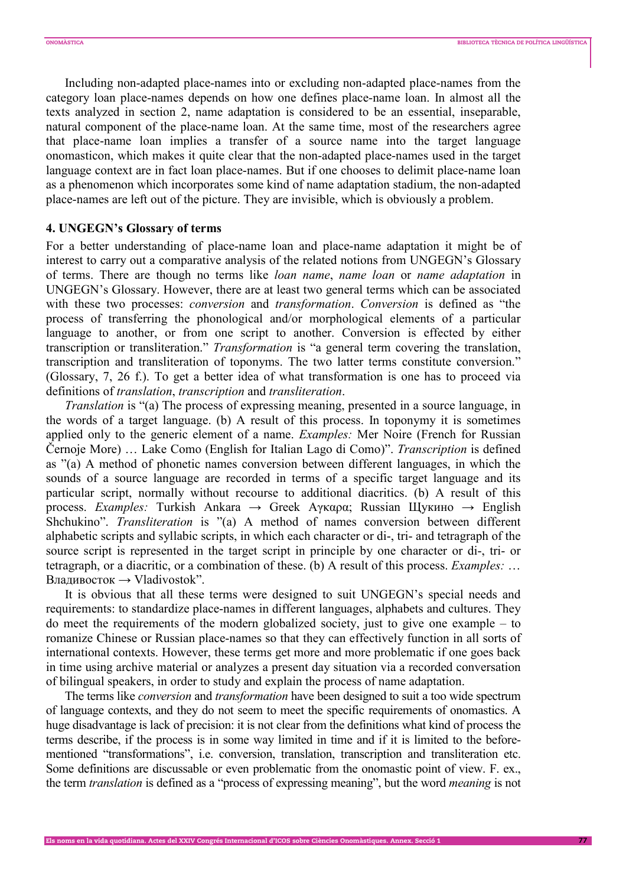Including non-adapted place-names into or excluding non-adapted place-names from the category loan place-names depends on how one defines place-name loan. In almost all the texts analyzed in section 2, name adaptation is considered to be an essential, inseparable, natural component of the place-name loan. At the same time, most of the researchers agree that place-name loan implies a transfer of a source name into the target language onomasticon, which makes it quite clear that the non-adapted place-names used in the target language context are in fact loan place-names. But if one chooses to delimit place-name loan as a phenomenon which incorporates some kind of name adaptation stadium, the non-adapted place-names are left out of the picture. They are invisible, which is obviously a problem.

## **4. UNGEGN's Glossary of terms**

For a better understanding of place-name loan and place-name adaptation it might be of interest to carry out a comparative analysis of the related notions from UNGEGN's Glossary of terms. There are though no terms like *loan name*, *name loan* or *name adaptation* in UNGEGN's Glossary. However, there are at least two general terms which can be associated with these two processes: *conversion* and *transformation*. *Conversion* is defined as "the process of transferring the phonological and/or morphological elements of a particular language to another, or from one script to another. Conversion is effected by either transcription or transliteration." *Transformation* is "a general term covering the translation, transcription and transliteration of toponyms. The two latter terms constitute conversion." (Glossary, 7, 26 f.). To get a better idea of what transformation is one has to proceed via definitions of *translation*, *transcription* and *transliteration*.

*Translation* is "(a) The process of expressing meaning, presented in a source language, in the words of a target language. (b) A result of this process. In toponymy it is sometimes applied only to the generic element of a name. *Examples:* Mer Noire (French for Russian Černoje More) … Lake Como (English for Italian Lago di Como)". *Transcription* is defined as "(a) A method of phonetic names conversion between different languages, in which the sounds of a source language are recorded in terms of a specific target language and its particular script, normally without recourse to additional diacritics. (b) A result of this process. *Examples:* Turkish Ankara → Greek Aγκαρα; Russian Щукино → English Shchukino". *Transliteration* is "(a) A method of names conversion between different alphabetic scripts and syllabic scripts, in which each character or di-, tri- and tetragraph of the source script is represented in the target script in principle by one character or di-, tri- or tetragraph, or a diacritic, or a combination of these. (b) A result of this process. *Examples:* … Владивосток → Vladivostok".

It is obvious that all these terms were designed to suit UNGEGN's special needs and requirements: to standardize place-names in different languages, alphabets and cultures. They do meet the requirements of the modern globalized society, just to give one example – to romanize Chinese or Russian place-names so that they can effectively function in all sorts of international contexts. However, these terms get more and more problematic if one goes back in time using archive material or analyzes a present day situation via a recorded conversation of bilingual speakers, in order to study and explain the process of name adaptation.

The terms like *conversion* and *transformation* have been designed to suit a too wide spectrum of language contexts, and they do not seem to meet the specific requirements of onomastics. A huge disadvantage is lack of precision: it is not clear from the definitions what kind of process the terms describe, if the process is in some way limited in time and if it is limited to the beforementioned "transformations", i.e. conversion, translation, transcription and transliteration etc. Some definitions are discussable or even problematic from the onomastic point of view. F. ex., the term *translation* is defined as a "process of expressing meaning", but the word *meaning* is not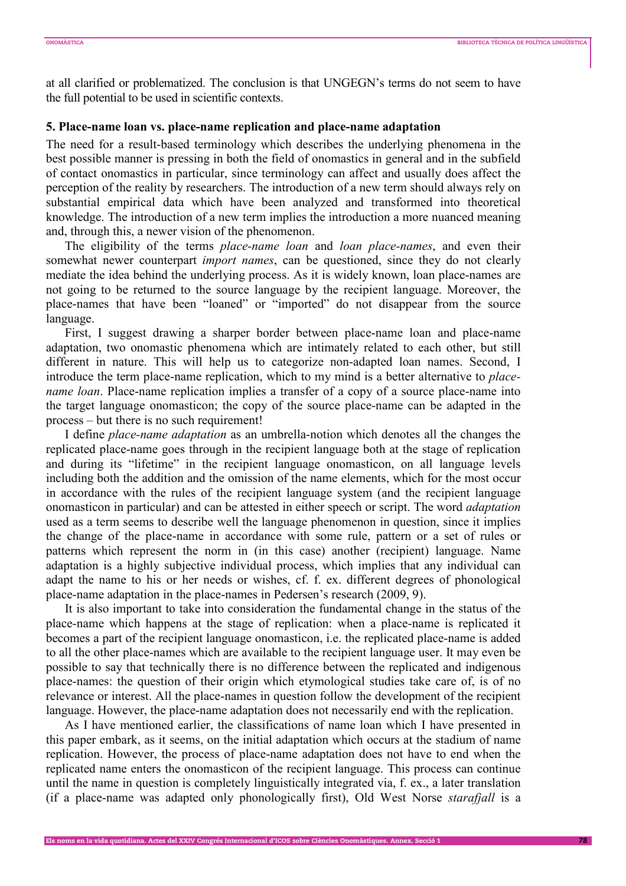at all clarified or problematized. The conclusion is that UNGEGN's terms do not seem to have the full potential to be used in scientific contexts.

#### **5. Place-name loan vs. place-name replication and place-name adaptation**

The need for a result-based terminology which describes the underlying phenomena in the best possible manner is pressing in both the field of onomastics in general and in the subfield of contact onomastics in particular, since terminology can affect and usually does affect the perception of the reality by researchers. The introduction of a new term should always rely on substantial empirical data which have been analyzed and transformed into theoretical knowledge. The introduction of a new term implies the introduction a more nuanced meaning and, through this, a newer vision of the phenomenon.

The eligibility of the terms *place-name loan* and *loan place-names*, and even their somewhat newer counterpart *import names*, can be questioned, since they do not clearly mediate the idea behind the underlying process. As it is widely known, loan place-names are not going to be returned to the source language by the recipient language. Moreover, the place-names that have been "loaned" or "imported" do not disappear from the source language.

First, I suggest drawing a sharper border between place-name loan and place-name adaptation, two onomastic phenomena which are intimately related to each other, but still different in nature. This will help us to categorize non-adapted loan names. Second, I introduce the term place-name replication, which to my mind is a better alternative to *placename loan*. Place-name replication implies a transfer of a copy of a source place-name into the target language onomasticon; the copy of the source place-name can be adapted in the process – but there is no such requirement!

I define *place-name adaptation* as an umbrella-notion which denotes all the changes the replicated place-name goes through in the recipient language both at the stage of replication and during its "lifetime" in the recipient language onomasticon, on all language levels including both the addition and the omission of the name elements, which for the most occur in accordance with the rules of the recipient language system (and the recipient language onomasticon in particular) and can be attested in either speech or script. The word *adaptation* used as a term seems to describe well the language phenomenon in question, since it implies the change of the place-name in accordance with some rule, pattern or a set of rules or patterns which represent the norm in (in this case) another (recipient) language. Name adaptation is a highly subjective individual process, which implies that any individual can adapt the name to his or her needs or wishes, cf. f. ex. different degrees of phonological place-name adaptation in the place-names in Pedersen's research (2009, 9).

It is also important to take into consideration the fundamental change in the status of the place-name which happens at the stage of replication: when a place-name is replicated it becomes a part of the recipient language onomasticon, i.e. the replicated place-name is added to all the other place-names which are available to the recipient language user. It may even be possible to say that technically there is no difference between the replicated and indigenous place-names: the question of their origin which etymological studies take care of, is of no relevance or interest. All the place-names in question follow the development of the recipient language. However, the place-name adaptation does not necessarily end with the replication.

As I have mentioned earlier, the classifications of name loan which I have presented in this paper embark, as it seems, on the initial adaptation which occurs at the stadium of name replication. However, the process of place-name adaptation does not have to end when the replicated name enters the onomasticon of the recipient language. This process can continue until the name in question is completely linguistically integrated via, f. ex., a later translation (if a place-name was adapted only phonologically first), Old West Norse *starafjall* is a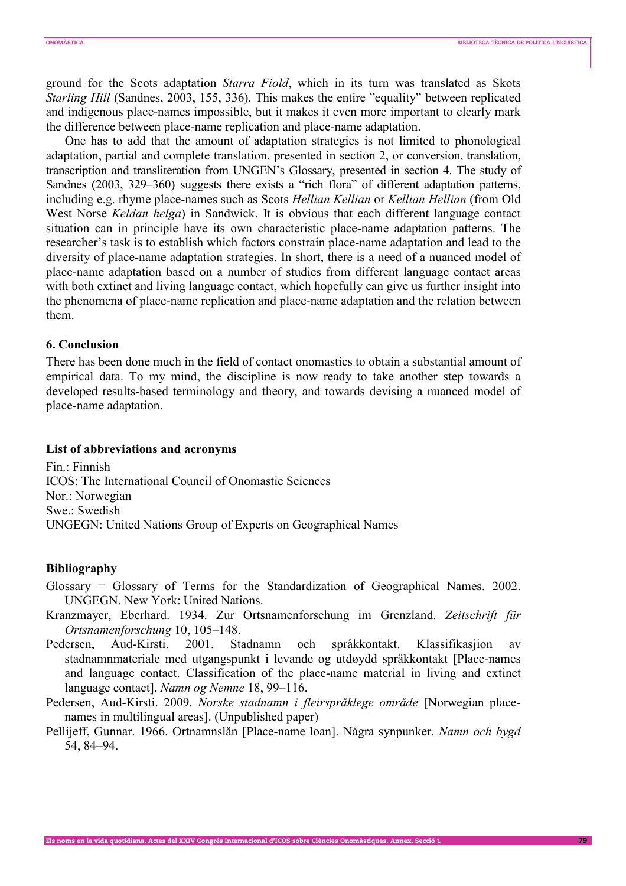ground for the Scots adaptation *Starra Fiold*, which in its turn was translated as Skots *Starling Hill* (Sandnes, 2003, 155, 336). This makes the entire "equality" between replicated and indigenous place-names impossible, but it makes it even more important to clearly mark the difference between place-name replication and place-name adaptation.

One has to add that the amount of adaptation strategies is not limited to phonological adaptation, partial and complete translation, presented in section 2, or conversion, translation, transcription and transliteration from UNGEN's Glossary, presented in section 4. The study of Sandnes (2003, 329–360) suggests there exists a "rich flora" of different adaptation patterns, including e.g. rhyme place-names such as Scots *Hellian Kellian* or *Kellian Hellian* (from Old West Norse *Keldan helga*) in Sandwick. It is obvious that each different language contact situation can in principle have its own characteristic place-name adaptation patterns. The researcher's task is to establish which factors constrain place-name adaptation and lead to the diversity of place-name adaptation strategies. In short, there is a need of a nuanced model of place-name adaptation based on a number of studies from different language contact areas with both extinct and living language contact, which hopefully can give us further insight into the phenomena of place-name replication and place-name adaptation and the relation between them.

## **6. Conclusion**

There has been done much in the field of contact onomastics to obtain a substantial amount of empirical data. To my mind, the discipline is now ready to take another step towards a developed results-based terminology and theory, and towards devising a nuanced model of place-name adaptation.

#### **List of abbreviations and acronyms**

Fin.: Finnish ICOS: The International Council of Onomastic Sciences Nor.: Norwegian Swe.: Swedish UNGEGN: United Nations Group of Experts on Geographical Names

#### **Bibliography**

- Glossary = Glossary of Terms for the Standardization of Geographical Names. 2002. UNGEGN. New York: United Nations.
- Kranzmayer, Eberhard. 1934. Zur Ortsnamenforschung im Grenzland. *Zeitschrift für Ortsnamenforschung* 10, 105–148.
- Pedersen, Aud-Kirsti. 2001. Stadnamn och språkkontakt. Klassifikasjion av stadnamnmateriale med utgangspunkt i levande og utdøydd språkkontakt [Place-names and language contact. Classification of the place-name material in living and extinct language contact]. *Namn og Nemne* 18, 99–116.
- Pedersen, Aud-Kirsti. 2009. *Norske stadnamn i fleirspråklege område* [Norwegian placenames in multilingual areas]. (Unpublished paper)
- Pellijeff, Gunnar. 1966. Ortnamnslån [Place-name loan]. Några synpunker. *Namn och bygd* 54, 84–94.